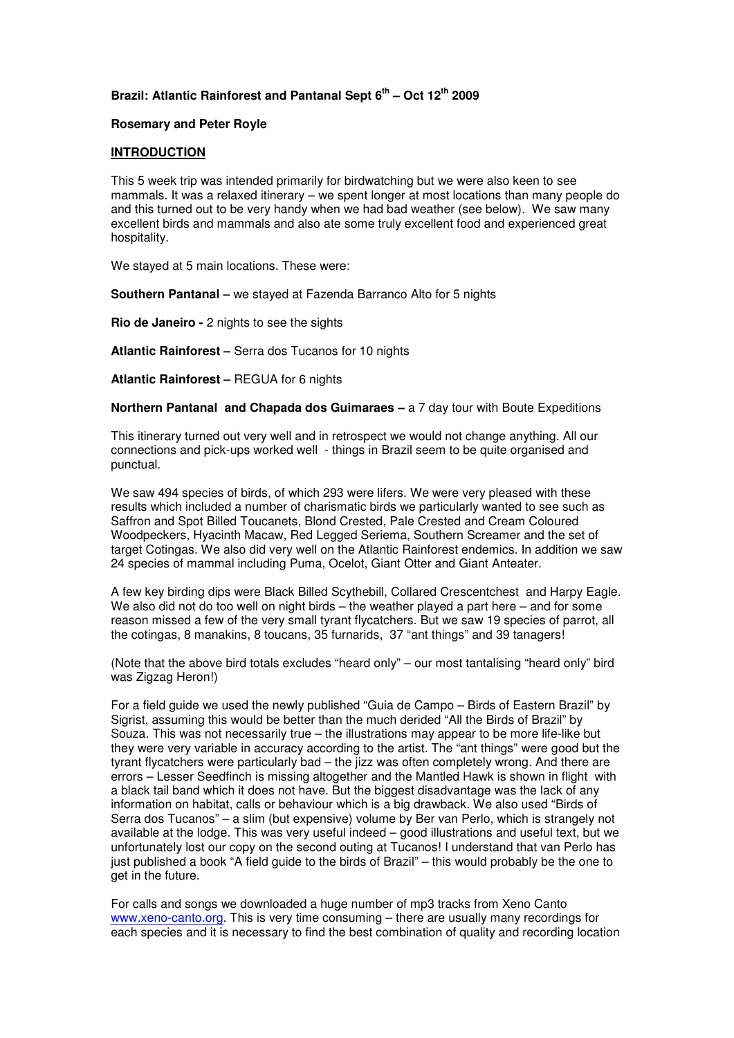# **Brazil: Atlantic Rainforest and Pantanal Sept 6th – Oct 12th 2009**

### **Rosemary and Peter Royle**

### **INTRODUCTION**

This 5 week trip was intended primarily for birdwatching but we were also keen to see mammals. It was a relaxed itinerary – we spent longer at most locations than many people do and this turned out to be very handy when we had bad weather (see below). We saw many excellent birds and mammals and also ate some truly excellent food and experienced great hospitality.

We stayed at 5 main locations. These were:

**Southern Pantanal –** we stayed at Fazenda Barranco Alto for 5 nights

**Rio de Janeiro -** 2 nights to see the sights

**Atlantic Rainforest –** Serra dos Tucanos for 10 nights

**Atlantic Rainforest –** REGUA for 6 nights

**Northern Pantanal and Chapada dos Guimaraes –** a 7 day tour with Boute Expeditions

This itinerary turned out very well and in retrospect we would not change anything. All our connections and pick-ups worked well - things in Brazil seem to be quite organised and punctual.

We saw 494 species of birds, of which 293 were lifers. We were very pleased with these results which included a number of charismatic birds we particularly wanted to see such as Saffron and Spot Billed Toucanets, Blond Crested, Pale Crested and Cream Coloured Woodpeckers, Hyacinth Macaw, Red Legged Seriema, Southern Screamer and the set of target Cotingas. We also did very well on the Atlantic Rainforest endemics. In addition we saw 24 species of mammal including Puma, Ocelot, Giant Otter and Giant Anteater.

A few key birding dips were Black Billed Scythebill, Collared Crescentchest and Harpy Eagle. We also did not do too well on night birds – the weather played a part here – and for some reason missed a few of the very small tyrant flycatchers. But we saw 19 species of parrot, all the cotingas, 8 manakins, 8 toucans, 35 furnarids, 37 "ant things" and 39 tanagers!

(Note that the above bird totals excludes "heard only" – our most tantalising "heard only" bird was Zigzag Heron!)

For a field guide we used the newly published "Guia de Campo – Birds of Eastern Brazil" by Sigrist, assuming this would be better than the much derided "All the Birds of Brazil" by Souza. This was not necessarily true – the illustrations may appear to be more life-like but they were very variable in accuracy according to the artist. The "ant things" were good but the tyrant flycatchers were particularly bad – the jizz was often completely wrong. And there are errors – Lesser Seedfinch is missing altogether and the Mantled Hawk is shown in flight with a black tail band which it does not have. But the biggest disadvantage was the lack of any information on habitat, calls or behaviour which is a big drawback. We also used "Birds of Serra dos Tucanos" – a slim (but expensive) volume by Ber van Perlo, which is strangely not available at the lodge. This was very useful indeed – good illustrations and useful text, but we unfortunately lost our copy on the second outing at Tucanos! I understand that van Perlo has just published a book "A field guide to the birds of Brazil" – this would probably be the one to get in the future.

For calls and songs we downloaded a huge number of mp3 tracks from Xeno Canto www.xeno-canto.org. This is very time consuming – there are usually many recordings for each species and it is necessary to find the best combination of quality and recording location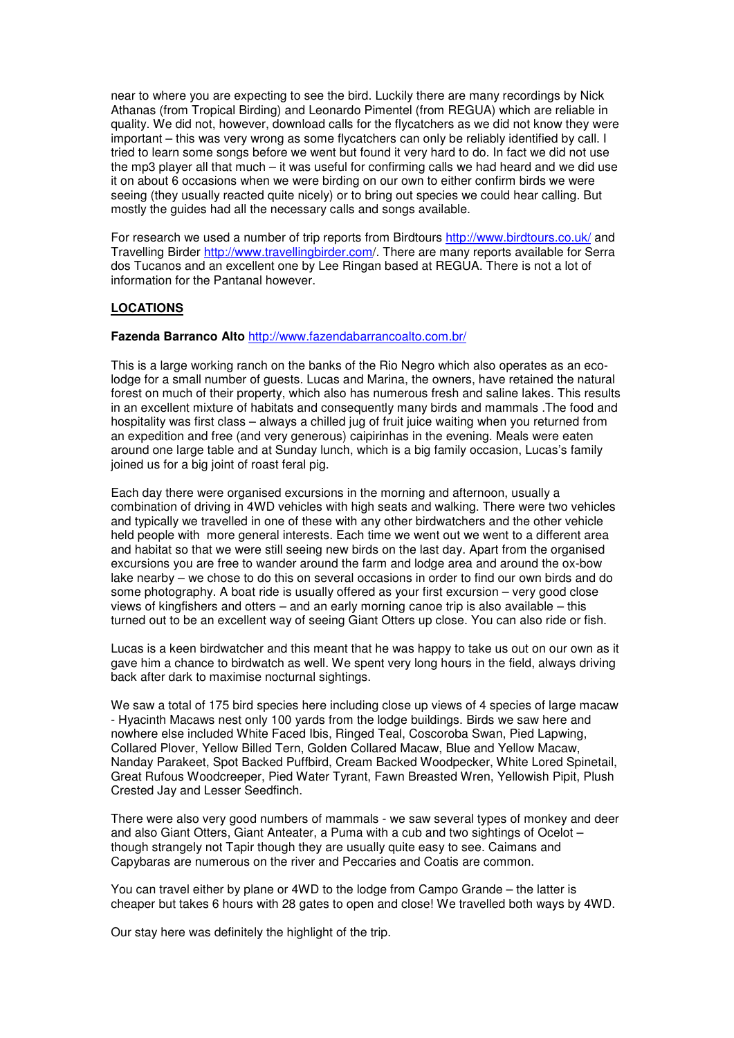near to where you are expecting to see the bird. Luckily there are many recordings by Nick Athanas (from Tropical Birding) and Leonardo Pimentel (from REGUA) which are reliable in quality. We did not, however, download calls for the flycatchers as we did not know they were important – this was very wrong as some flycatchers can only be reliably identified by call. I tried to learn some songs before we went but found it very hard to do. In fact we did not use the mp3 player all that much – it was useful for confirming calls we had heard and we did use it on about 6 occasions when we were birding on our own to either confirm birds we were seeing (they usually reacted quite nicely) or to bring out species we could hear calling. But mostly the guides had all the necessary calls and songs available.

For research we used a number of trip reports from Birdtours http://www.birdtours.co.uk/ and Travelling Birder http://www.travellingbirder.com/. There are many reports available for Serra dos Tucanos and an excellent one by Lee Ringan based at REGUA. There is not a lot of information for the Pantanal however.

## **LOCATIONS**

### **Fazenda Barranco Alto** http://www.fazendabarrancoalto.com.br/

This is a large working ranch on the banks of the Rio Negro which also operates as an ecolodge for a small number of guests. Lucas and Marina, the owners, have retained the natural forest on much of their property, which also has numerous fresh and saline lakes. This results in an excellent mixture of habitats and consequently many birds and mammals .The food and hospitality was first class – always a chilled jug of fruit juice waiting when you returned from an expedition and free (and very generous) caipirinhas in the evening. Meals were eaten around one large table and at Sunday lunch, which is a big family occasion, Lucas's family joined us for a big joint of roast feral pig.

Each day there were organised excursions in the morning and afternoon, usually a combination of driving in 4WD vehicles with high seats and walking. There were two vehicles and typically we travelled in one of these with any other birdwatchers and the other vehicle held people with more general interests. Each time we went out we went to a different area and habitat so that we were still seeing new birds on the last day. Apart from the organised excursions you are free to wander around the farm and lodge area and around the ox-bow lake nearby – we chose to do this on several occasions in order to find our own birds and do some photography. A boat ride is usually offered as your first excursion – very good close views of kingfishers and otters – and an early morning canoe trip is also available – this turned out to be an excellent way of seeing Giant Otters up close. You can also ride or fish.

Lucas is a keen birdwatcher and this meant that he was happy to take us out on our own as it gave him a chance to birdwatch as well. We spent very long hours in the field, always driving back after dark to maximise nocturnal sightings.

We saw a total of 175 bird species here including close up views of 4 species of large macaw - Hyacinth Macaws nest only 100 yards from the lodge buildings. Birds we saw here and nowhere else included White Faced Ibis, Ringed Teal, Coscoroba Swan, Pied Lapwing, Collared Plover, Yellow Billed Tern, Golden Collared Macaw, Blue and Yellow Macaw, Nanday Parakeet, Spot Backed Puffbird, Cream Backed Woodpecker, White Lored Spinetail, Great Rufous Woodcreeper, Pied Water Tyrant, Fawn Breasted Wren, Yellowish Pipit, Plush Crested Jay and Lesser Seedfinch.

There were also very good numbers of mammals - we saw several types of monkey and deer and also Giant Otters, Giant Anteater, a Puma with a cub and two sightings of Ocelot – though strangely not Tapir though they are usually quite easy to see. Caimans and Capybaras are numerous on the river and Peccaries and Coatis are common.

You can travel either by plane or 4WD to the lodge from Campo Grande – the latter is cheaper but takes 6 hours with 28 gates to open and close! We travelled both ways by 4WD.

Our stay here was definitely the highlight of the trip.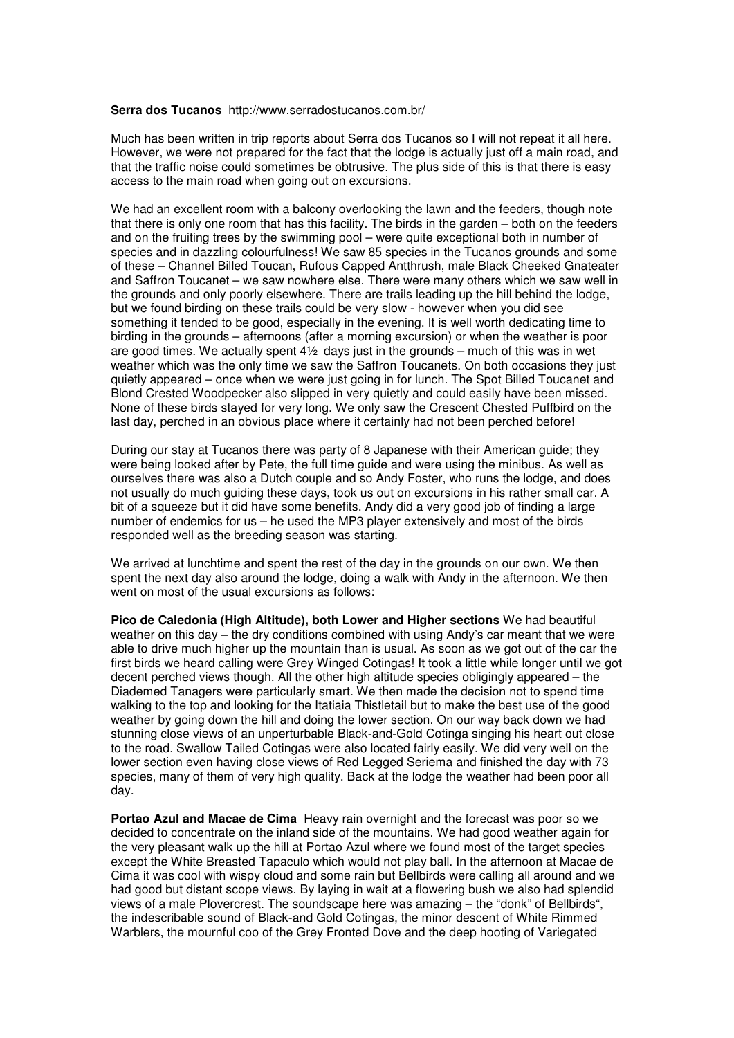#### **Serra dos Tucanos** http://www.serradostucanos.com.br/

Much has been written in trip reports about Serra dos Tucanos so I will not repeat it all here. However, we were not prepared for the fact that the lodge is actually just off a main road, and that the traffic noise could sometimes be obtrusive. The plus side of this is that there is easy access to the main road when going out on excursions.

We had an excellent room with a balcony overlooking the lawn and the feeders, though note that there is only one room that has this facility. The birds in the garden – both on the feeders and on the fruiting trees by the swimming pool – were quite exceptional both in number of species and in dazzling colourfulness! We saw 85 species in the Tucanos grounds and some of these – Channel Billed Toucan, Rufous Capped Antthrush, male Black Cheeked Gnateater and Saffron Toucanet – we saw nowhere else. There were many others which we saw well in the grounds and only poorly elsewhere. There are trails leading up the hill behind the lodge, but we found birding on these trails could be very slow - however when you did see something it tended to be good, especially in the evening. It is well worth dedicating time to birding in the grounds – afternoons (after a morning excursion) or when the weather is poor are good times. We actually spent  $4\frac{1}{2}$  days just in the grounds – much of this was in wet weather which was the only time we saw the Saffron Toucanets. On both occasions they just quietly appeared – once when we were just going in for lunch. The Spot Billed Toucanet and Blond Crested Woodpecker also slipped in very quietly and could easily have been missed. None of these birds stayed for very long. We only saw the Crescent Chested Puffbird on the last day, perched in an obvious place where it certainly had not been perched before!

During our stay at Tucanos there was party of 8 Japanese with their American guide; they were being looked after by Pete, the full time guide and were using the minibus. As well as ourselves there was also a Dutch couple and so Andy Foster, who runs the lodge, and does not usually do much guiding these days, took us out on excursions in his rather small car. A bit of a squeeze but it did have some benefits. Andy did a very good job of finding a large number of endemics for us – he used the MP3 player extensively and most of the birds responded well as the breeding season was starting.

We arrived at lunchtime and spent the rest of the day in the grounds on our own. We then spent the next day also around the lodge, doing a walk with Andy in the afternoon. We then went on most of the usual excursions as follows:

**Pico de Caledonia (High Altitude), both Lower and Higher sections** We had beautiful weather on this day – the dry conditions combined with using Andy's car meant that we were able to drive much higher up the mountain than is usual. As soon as we got out of the car the first birds we heard calling were Grey Winged Cotingas! It took a little while longer until we got decent perched views though. All the other high altitude species obligingly appeared – the Diademed Tanagers were particularly smart. We then made the decision not to spend time walking to the top and looking for the Itatiaia Thistletail but to make the best use of the good weather by going down the hill and doing the lower section. On our way back down we had stunning close views of an unperturbable Black-and-Gold Cotinga singing his heart out close to the road. Swallow Tailed Cotingas were also located fairly easily. We did very well on the lower section even having close views of Red Legged Seriema and finished the day with 73 species, many of them of very high quality. Back at the lodge the weather had been poor all day.

**Portao Azul and Macae de Cima** Heavy rain overnight and **t**he forecast was poor so we decided to concentrate on the inland side of the mountains. We had good weather again for the very pleasant walk up the hill at Portao Azul where we found most of the target species except the White Breasted Tapaculo which would not play ball. In the afternoon at Macae de Cima it was cool with wispy cloud and some rain but Bellbirds were calling all around and we had good but distant scope views. By laying in wait at a flowering bush we also had splendid views of a male Plovercrest. The soundscape here was amazing – the "donk" of Bellbirds", the indescribable sound of Black-and Gold Cotingas, the minor descent of White Rimmed Warblers, the mournful coo of the Grey Fronted Dove and the deep hooting of Variegated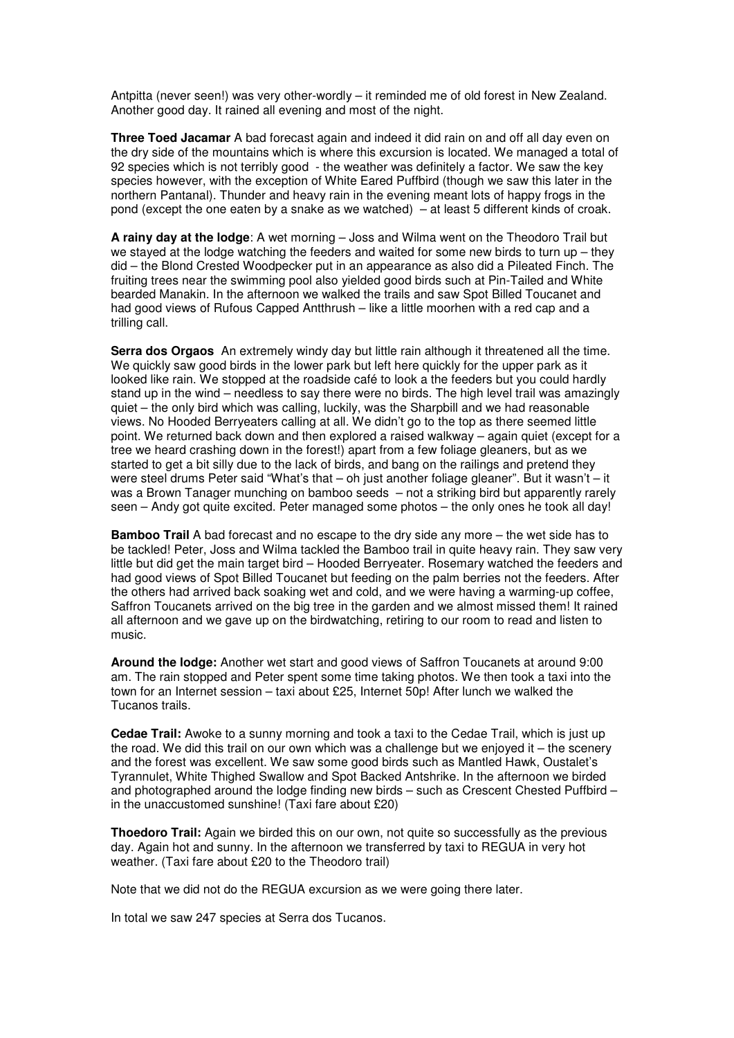Antpitta (never seen!) was very other-wordly – it reminded me of old forest in New Zealand. Another good day. It rained all evening and most of the night.

**Three Toed Jacamar** A bad forecast again and indeed it did rain on and off all day even on the dry side of the mountains which is where this excursion is located. We managed a total of 92 species which is not terribly good - the weather was definitely a factor. We saw the key species however, with the exception of White Eared Puffbird (though we saw this later in the northern Pantanal). Thunder and heavy rain in the evening meant lots of happy frogs in the pond (except the one eaten by a snake as we watched) – at least 5 different kinds of croak.

**A rainy day at the lodge**: A wet morning – Joss and Wilma went on the Theodoro Trail but we stayed at the lodge watching the feeders and waited for some new birds to turn up – they did – the Blond Crested Woodpecker put in an appearance as also did a Pileated Finch. The fruiting trees near the swimming pool also yielded good birds such at Pin-Tailed and White bearded Manakin. In the afternoon we walked the trails and saw Spot Billed Toucanet and had good views of Rufous Capped Antthrush – like a little moorhen with a red cap and a trilling call.

**Serra dos Orgaos** An extremely windy day but little rain although it threatened all the time. We quickly saw good birds in the lower park but left here quickly for the upper park as it looked like rain. We stopped at the roadside café to look a the feeders but you could hardly stand up in the wind – needless to say there were no birds. The high level trail was amazingly quiet – the only bird which was calling, luckily, was the Sharpbill and we had reasonable views. No Hooded Berryeaters calling at all. We didn't go to the top as there seemed little point. We returned back down and then explored a raised walkway – again quiet (except for a tree we heard crashing down in the forest!) apart from a few foliage gleaners, but as we started to get a bit silly due to the lack of birds, and bang on the railings and pretend they were steel drums Peter said "What's that – oh just another foliage gleaner". But it wasn't – it was a Brown Tanager munching on bamboo seeds – not a striking bird but apparently rarely seen – Andy got quite excited. Peter managed some photos – the only ones he took all day!

**Bamboo Trail** A bad forecast and no escape to the dry side any more – the wet side has to be tackled! Peter, Joss and Wilma tackled the Bamboo trail in quite heavy rain. They saw very little but did get the main target bird – Hooded Berryeater. Rosemary watched the feeders and had good views of Spot Billed Toucanet but feeding on the palm berries not the feeders. After the others had arrived back soaking wet and cold, and we were having a warming-up coffee, Saffron Toucanets arrived on the big tree in the garden and we almost missed them! It rained all afternoon and we gave up on the birdwatching, retiring to our room to read and listen to music.

**Around the lodge:** Another wet start and good views of Saffron Toucanets at around 9:00 am. The rain stopped and Peter spent some time taking photos. We then took a taxi into the town for an Internet session – taxi about £25, Internet 50p! After lunch we walked the Tucanos trails.

**Cedae Trail:** Awoke to a sunny morning and took a taxi to the Cedae Trail, which is just up the road. We did this trail on our own which was a challenge but we enjoyed it – the scenery and the forest was excellent. We saw some good birds such as Mantled Hawk, Oustalet's Tyrannulet, White Thighed Swallow and Spot Backed Antshrike. In the afternoon we birded and photographed around the lodge finding new birds – such as Crescent Chested Puffbird – in the unaccustomed sunshine! (Taxi fare about £20)

**Thoedoro Trail:** Again we birded this on our own, not quite so successfully as the previous day. Again hot and sunny. In the afternoon we transferred by taxi to REGUA in very hot weather. (Taxi fare about £20 to the Theodoro trail)

Note that we did not do the REGUA excursion as we were going there later.

In total we saw 247 species at Serra dos Tucanos.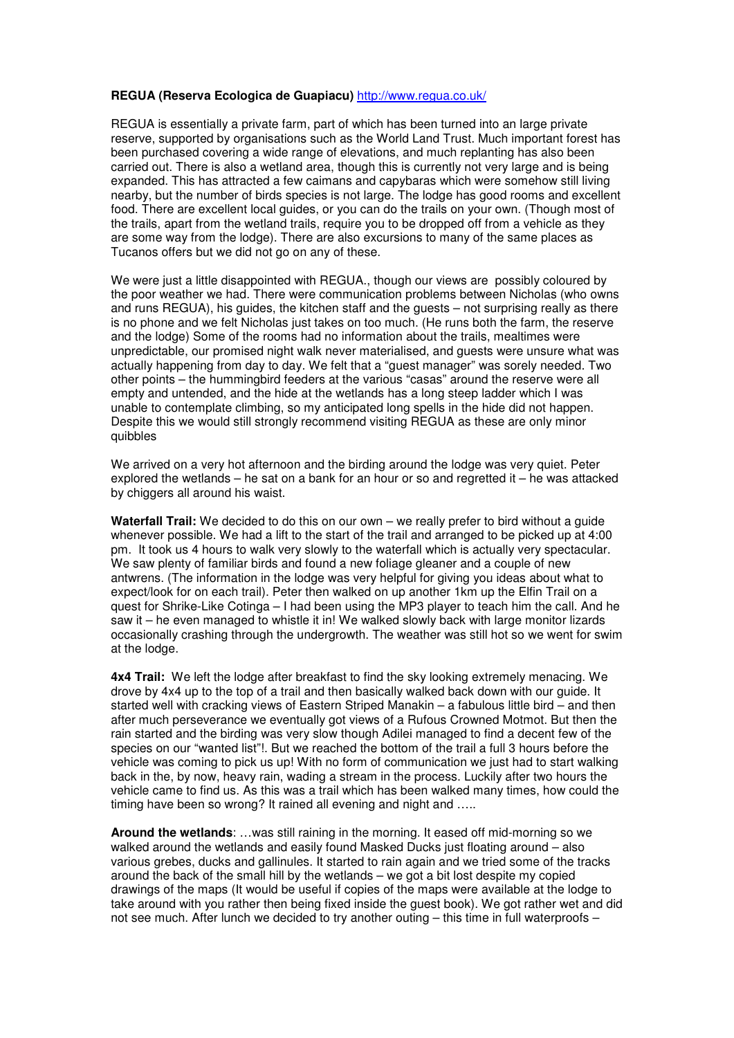#### **REGUA (Reserva Ecologica de Guapiacu)** http://www.regua.co.uk/

REGUA is essentially a private farm, part of which has been turned into an large private reserve, supported by organisations such as the World Land Trust. Much important forest has been purchased covering a wide range of elevations, and much replanting has also been carried out. There is also a wetland area, though this is currently not very large and is being expanded. This has attracted a few caimans and capybaras which were somehow still living nearby, but the number of birds species is not large. The lodge has good rooms and excellent food. There are excellent local guides, or you can do the trails on your own. (Though most of the trails, apart from the wetland trails, require you to be dropped off from a vehicle as they are some way from the lodge). There are also excursions to many of the same places as Tucanos offers but we did not go on any of these.

We were just a little disappointed with REGUA., though our views are possibly coloured by the poor weather we had. There were communication problems between Nicholas (who owns and runs REGUA), his guides, the kitchen staff and the guests – not surprising really as there is no phone and we felt Nicholas just takes on too much. (He runs both the farm, the reserve and the lodge) Some of the rooms had no information about the trails, mealtimes were unpredictable, our promised night walk never materialised, and guests were unsure what was actually happening from day to day. We felt that a "guest manager" was sorely needed. Two other points – the hummingbird feeders at the various "casas" around the reserve were all empty and untended, and the hide at the wetlands has a long steep ladder which I was unable to contemplate climbing, so my anticipated long spells in the hide did not happen. Despite this we would still strongly recommend visiting REGUA as these are only minor quibbles

We arrived on a very hot afternoon and the birding around the lodge was very quiet. Peter explored the wetlands – he sat on a bank for an hour or so and regretted it – he was attacked by chiggers all around his waist.

**Waterfall Trail:** We decided to do this on our own – we really prefer to bird without a guide whenever possible. We had a lift to the start of the trail and arranged to be picked up at 4:00 pm. It took us 4 hours to walk very slowly to the waterfall which is actually very spectacular. We saw plenty of familiar birds and found a new foliage gleaner and a couple of new antwrens. (The information in the lodge was very helpful for giving you ideas about what to expect/look for on each trail). Peter then walked on up another 1km up the Elfin Trail on a quest for Shrike-Like Cotinga – I had been using the MP3 player to teach him the call. And he saw it – he even managed to whistle it in! We walked slowly back with large monitor lizards occasionally crashing through the undergrowth. The weather was still hot so we went for swim at the lodge.

**4x4 Trail:** We left the lodge after breakfast to find the sky looking extremely menacing. We drove by 4x4 up to the top of a trail and then basically walked back down with our guide. It started well with cracking views of Eastern Striped Manakin – a fabulous little bird – and then after much perseverance we eventually got views of a Rufous Crowned Motmot. But then the rain started and the birding was very slow though Adilei managed to find a decent few of the species on our "wanted list"!. But we reached the bottom of the trail a full 3 hours before the vehicle was coming to pick us up! With no form of communication we just had to start walking back in the, by now, heavy rain, wading a stream in the process. Luckily after two hours the vehicle came to find us. As this was a trail which has been walked many times, how could the timing have been so wrong? It rained all evening and night and …..

**Around the wetlands**: …was still raining in the morning. It eased off mid-morning so we walked around the wetlands and easily found Masked Ducks just floating around – also various grebes, ducks and gallinules. It started to rain again and we tried some of the tracks around the back of the small hill by the wetlands – we got a bit lost despite my copied drawings of the maps (It would be useful if copies of the maps were available at the lodge to take around with you rather then being fixed inside the guest book). We got rather wet and did not see much. After lunch we decided to try another outing – this time in full waterproofs –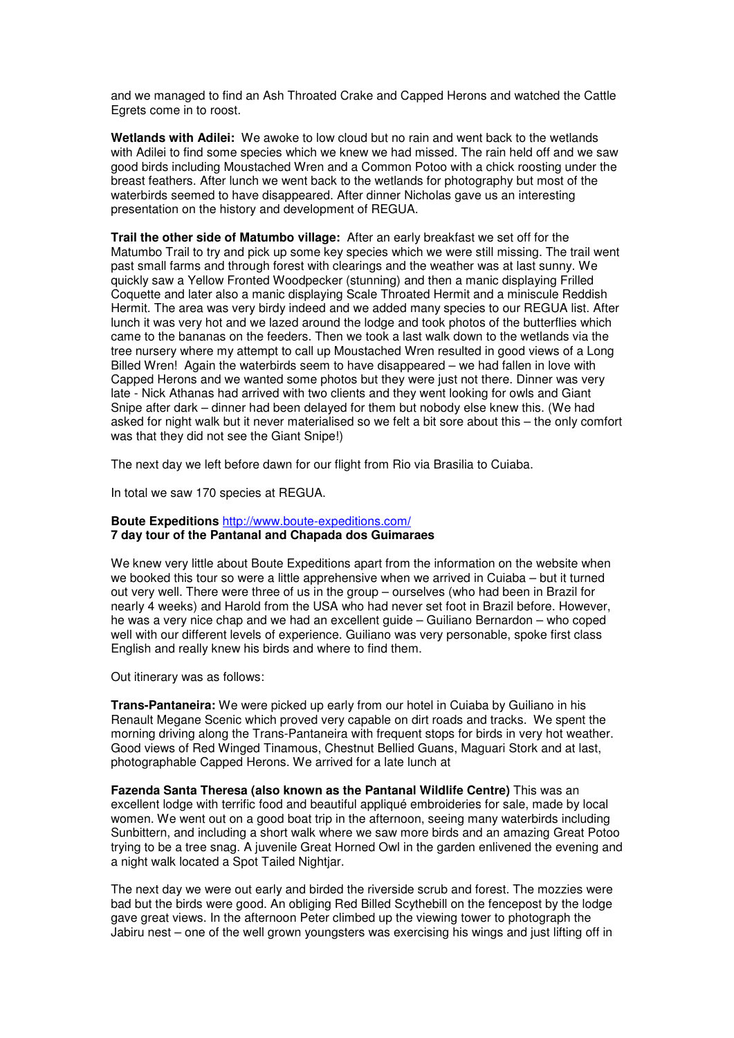and we managed to find an Ash Throated Crake and Capped Herons and watched the Cattle Egrets come in to roost.

**Wetlands with Adilei:** We awoke to low cloud but no rain and went back to the wetlands with Adilei to find some species which we knew we had missed. The rain held off and we saw good birds including Moustached Wren and a Common Potoo with a chick roosting under the breast feathers. After lunch we went back to the wetlands for photography but most of the waterbirds seemed to have disappeared. After dinner Nicholas gave us an interesting presentation on the history and development of REGUA.

**Trail the other side of Matumbo village:** After an early breakfast we set off for the Matumbo Trail to try and pick up some key species which we were still missing. The trail went past small farms and through forest with clearings and the weather was at last sunny. We quickly saw a Yellow Fronted Woodpecker (stunning) and then a manic displaying Frilled Coquette and later also a manic displaying Scale Throated Hermit and a miniscule Reddish Hermit. The area was very birdy indeed and we added many species to our REGUA list. After lunch it was very hot and we lazed around the lodge and took photos of the butterflies which came to the bananas on the feeders. Then we took a last walk down to the wetlands via the tree nursery where my attempt to call up Moustached Wren resulted in good views of a Long Billed Wren! Again the waterbirds seem to have disappeared – we had fallen in love with Capped Herons and we wanted some photos but they were just not there. Dinner was very late - Nick Athanas had arrived with two clients and they went looking for owls and Giant Snipe after dark – dinner had been delayed for them but nobody else knew this. (We had asked for night walk but it never materialised so we felt a bit sore about this – the only comfort was that they did not see the Giant Snipe!)

The next day we left before dawn for our flight from Rio via Brasilia to Cuiaba.

In total we saw 170 species at REGUA.

#### **Boute Expeditions** http://www.boute-expeditions.com**/ 7 day tour of the Pantanal and Chapada dos Guimaraes**

We knew very little about Boute Expeditions apart from the information on the website when we booked this tour so were a little apprehensive when we arrived in Cuiaba – but it turned out very well. There were three of us in the group – ourselves (who had been in Brazil for nearly 4 weeks) and Harold from the USA who had never set foot in Brazil before. However, he was a very nice chap and we had an excellent guide – Guiliano Bernardon – who coped well with our different levels of experience. Guiliano was very personable, spoke first class English and really knew his birds and where to find them.

Out itinerary was as follows:

**Trans-Pantaneira:** We were picked up early from our hotel in Cuiaba by Guiliano in his Renault Megane Scenic which proved very capable on dirt roads and tracks. We spent the morning driving along the Trans-Pantaneira with frequent stops for birds in very hot weather. Good views of Red Winged Tinamous, Chestnut Bellied Guans, Maguari Stork and at last, photographable Capped Herons. We arrived for a late lunch at

**Fazenda Santa Theresa (also known as the Pantanal Wildlife Centre)** This was an excellent lodge with terrific food and beautiful appliqué embroideries for sale, made by local women. We went out on a good boat trip in the afternoon, seeing many waterbirds including Sunbittern, and including a short walk where we saw more birds and an amazing Great Potoo trying to be a tree snag. A juvenile Great Horned Owl in the garden enlivened the evening and a night walk located a Spot Tailed Nightjar.

The next day we were out early and birded the riverside scrub and forest. The mozzies were bad but the birds were good. An obliging Red Billed Scythebill on the fencepost by the lodge gave great views. In the afternoon Peter climbed up the viewing tower to photograph the Jabiru nest – one of the well grown youngsters was exercising his wings and just lifting off in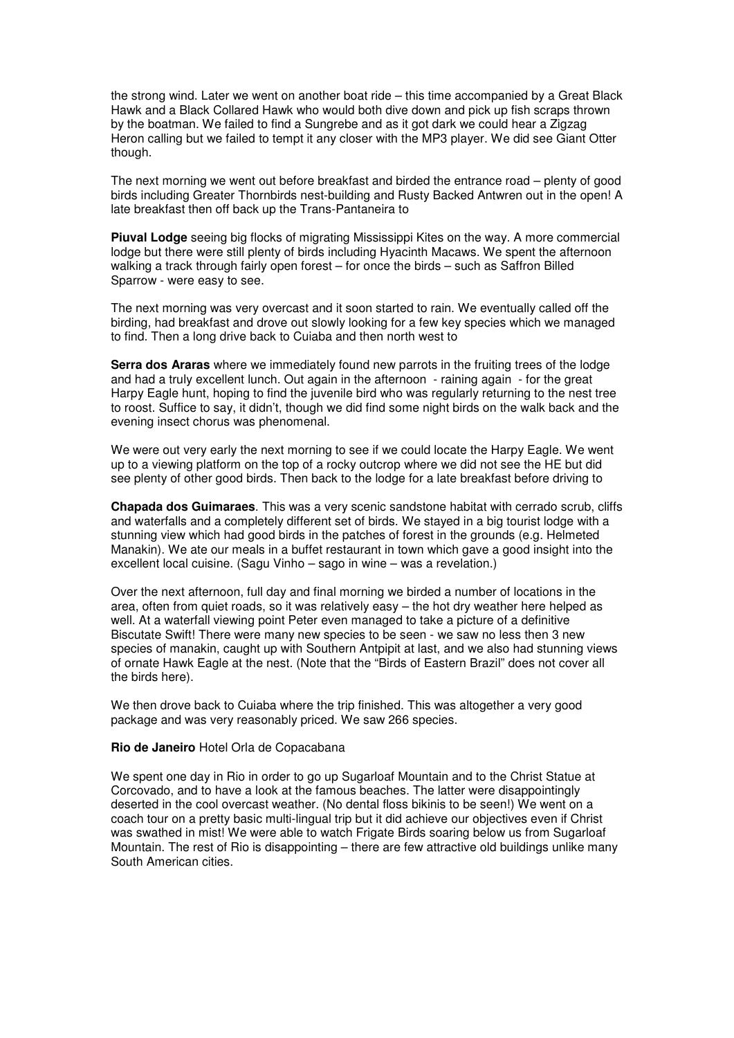the strong wind. Later we went on another boat ride – this time accompanied by a Great Black Hawk and a Black Collared Hawk who would both dive down and pick up fish scraps thrown by the boatman. We failed to find a Sungrebe and as it got dark we could hear a Zigzag Heron calling but we failed to tempt it any closer with the MP3 player. We did see Giant Otter though.

The next morning we went out before breakfast and birded the entrance road – plenty of good birds including Greater Thornbirds nest-building and Rusty Backed Antwren out in the open! A late breakfast then off back up the Trans-Pantaneira to

**Piuval Lodge** seeing big flocks of migrating Mississippi Kites on the way. A more commercial lodge but there were still plenty of birds including Hyacinth Macaws. We spent the afternoon walking a track through fairly open forest – for once the birds – such as Saffron Billed Sparrow - were easy to see.

The next morning was very overcast and it soon started to rain. We eventually called off the birding, had breakfast and drove out slowly looking for a few key species which we managed to find. Then a long drive back to Cuiaba and then north west to

**Serra dos Araras** where we immediately found new parrots in the fruiting trees of the lodge and had a truly excellent lunch. Out again in the afternoon - raining again - for the great Harpy Eagle hunt, hoping to find the juvenile bird who was regularly returning to the nest tree to roost. Suffice to say, it didn't, though we did find some night birds on the walk back and the evening insect chorus was phenomenal.

We were out very early the next morning to see if we could locate the Harpy Eagle. We went up to a viewing platform on the top of a rocky outcrop where we did not see the HE but did see plenty of other good birds. Then back to the lodge for a late breakfast before driving to

**Chapada dos Guimaraes**. This was a very scenic sandstone habitat with cerrado scrub, cliffs and waterfalls and a completely different set of birds. We stayed in a big tourist lodge with a stunning view which had good birds in the patches of forest in the grounds (e.g. Helmeted Manakin). We ate our meals in a buffet restaurant in town which gave a good insight into the excellent local cuisine. (Sagu Vinho – sago in wine – was a revelation.)

Over the next afternoon, full day and final morning we birded a number of locations in the area, often from quiet roads, so it was relatively easy – the hot dry weather here helped as well. At a waterfall viewing point Peter even managed to take a picture of a definitive Biscutate Swift! There were many new species to be seen - we saw no less then 3 new species of manakin, caught up with Southern Antpipit at last, and we also had stunning views of ornate Hawk Eagle at the nest. (Note that the "Birds of Eastern Brazil" does not cover all the birds here).

We then drove back to Cuiaba where the trip finished. This was altogether a very good package and was very reasonably priced. We saw 266 species.

### **Rio de Janeiro** Hotel Orla de Copacabana

We spent one day in Rio in order to go up Sugarloaf Mountain and to the Christ Statue at Corcovado, and to have a look at the famous beaches. The latter were disappointingly deserted in the cool overcast weather. (No dental floss bikinis to be seen!) We went on a coach tour on a pretty basic multi-lingual trip but it did achieve our objectives even if Christ was swathed in mist! We were able to watch Frigate Birds soaring below us from Sugarloaf Mountain. The rest of Rio is disappointing – there are few attractive old buildings unlike many South American cities.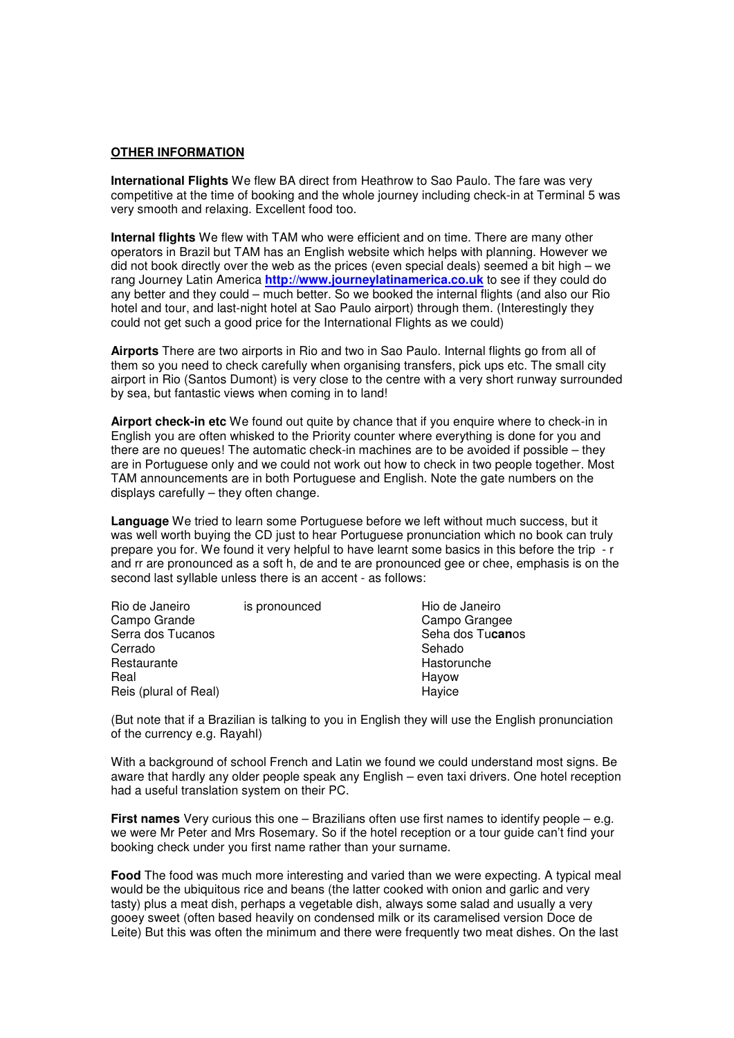#### **OTHER INFORMATION**

**International Flights** We flew BA direct from Heathrow to Sao Paulo. The fare was very competitive at the time of booking and the whole journey including check-in at Terminal 5 was very smooth and relaxing. Excellent food too.

**Internal flights** We flew with TAM who were efficient and on time. There are many other operators in Brazil but TAM has an English website which helps with planning. However we did not book directly over the web as the prices (even special deals) seemed a bit high – we rang Journey Latin America **http://www.journeylatinamerica.co.uk** to see if they could do any better and they could – much better. So we booked the internal flights (and also our Rio hotel and tour, and last-night hotel at Sao Paulo airport) through them. (Interestingly they could not get such a good price for the International Flights as we could)

**Airports** There are two airports in Rio and two in Sao Paulo. Internal flights go from all of them so you need to check carefully when organising transfers, pick ups etc. The small city airport in Rio (Santos Dumont) is very close to the centre with a very short runway surrounded by sea, but fantastic views when coming in to land!

**Airport check-in etc** We found out quite by chance that if you enquire where to check-in in English you are often whisked to the Priority counter where everything is done for you and there are no queues! The automatic check-in machines are to be avoided if possible – they are in Portuguese only and we could not work out how to check in two people together. Most TAM announcements are in both Portuguese and English. Note the gate numbers on the displays carefully – they often change.

**Language** We tried to learn some Portuguese before we left without much success, but it was well worth buying the CD just to hear Portuguese pronunciation which no book can truly prepare you for. We found it very helpful to have learnt some basics in this before the trip - r and rr are pronounced as a soft h, de and te are pronounced gee or chee, emphasis is on the second last syllable unless there is an accent - as follows:

| Rio de Janeiro        | is pronounced | Hio de Janeiro   |
|-----------------------|---------------|------------------|
| Campo Grande          |               | Campo Grangee    |
| Serra dos Tucanos     |               | Seha dos Tucanos |
| Cerrado               |               | Sehado           |
| Restaurante           |               | Hastorunche      |
| Real                  |               | Hayow            |
| Reis (plural of Real) |               | Hayice           |
|                       |               |                  |

(But note that if a Brazilian is talking to you in English they will use the English pronunciation of the currency e.g. Rayahl)

With a background of school French and Latin we found we could understand most signs. Be aware that hardly any older people speak any English – even taxi drivers. One hotel reception had a useful translation system on their PC.

**First names** Very curious this one – Brazilians often use first names to identify people – e.g. we were Mr Peter and Mrs Rosemary. So if the hotel reception or a tour guide can't find your booking check under you first name rather than your surname.

**Food** The food was much more interesting and varied than we were expecting. A typical meal would be the ubiquitous rice and beans (the latter cooked with onion and garlic and very tasty) plus a meat dish, perhaps a vegetable dish, always some salad and usually a very gooey sweet (often based heavily on condensed milk or its caramelised version Doce de Leite) But this was often the minimum and there were frequently two meat dishes. On the last